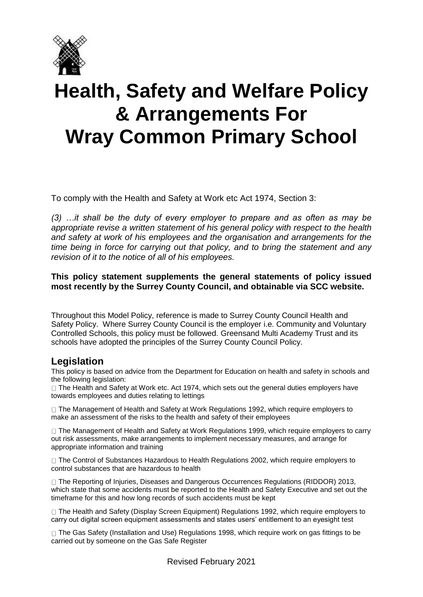

# **Health, Safety and Welfare Policy & Arrangements For Wray Common Primary School**

To comply with the Health and Safety at Work etc Act 1974, Section 3:

*(3) …it shall be the duty of every employer to prepare and as often as may be appropriate revise a written statement of his general policy with respect to the health and safety at work of his employees and the organisation and arrangements for the time being in force for carrying out that policy, and to bring the statement and any revision of it to the notice of all of his employees.*

### **This policy statement supplements the general statements of policy issued most recently by the Surrey County Council, and obtainable via SCC website.**

Throughout this Model Policy, reference is made to Surrey County Council Health and Safety Policy. Where Surrey County Council is the employer i.e. Community and Voluntary Controlled Schools, this policy must be followed. Greensand Multi Academy Trust and its schools have adopted the principles of the Surrey County Council Policy.

## **Legislation**

This policy is based on advice from the Department for Education on health and safety in schools and the following legislation:

 $\Box$  The Health and Safety at Work etc. Act 1974, which sets out the general duties employers have towards employees and duties relating to lettings

□ The Management of Health and Safety at Work Regulations 1992, which require employers to make an assessment of the risks to the health and safety of their employees

□ The Management of Health and Safety at Work Regulations 1999, which require employers to carry out risk assessments, make arrangements to implement necessary measures, and arrange for appropriate information and training

□ The Control of Substances Hazardous to Health Regulations 2002, which require employers to control substances that are hazardous to health

□ The Reporting of Injuries, Diseases and Dangerous Occurrences Regulations (RIDDOR) 2013, which state that some accidents must be reported to the Health and Safety Executive and set out the timeframe for this and how long records of such accidents must be kept

□ The Health and Safety (Display Screen Equipment) Regulations 1992, which require employers to carry out digital screen equipment assessments and states users' entitlement to an eyesight test

 $\Box$  The Gas Safety (Installation and Use) Regulations 1998, which require work on gas fittings to be carried out by someone on the Gas Safe Register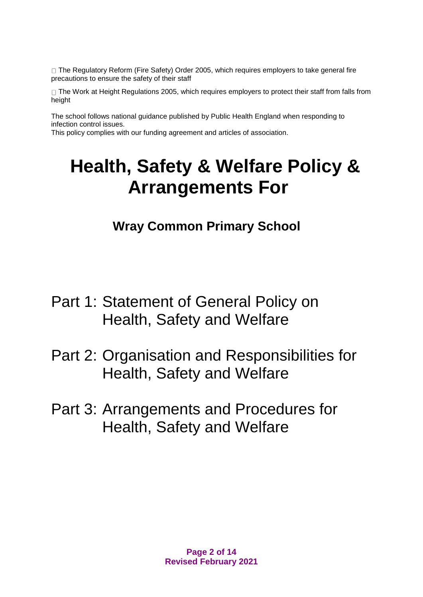□ The Regulatory Reform (Fire Safety) Order 2005, which requires employers to take general fire precautions to ensure the safety of their staff

 $\Box$  The Work at Height Regulations 2005, which requires employers to protect their staff from falls from height

The school follows national guidance published by Public Health England when responding to infection control issues.

This policy complies with our funding agreement and articles of association.

# **Health, Safety & Welfare Policy & Arrangements For**

**Wray Common Primary School**

- Part 1: Statement of General Policy on Health, Safety and Welfare
- Part 2: Organisation and Responsibilities for Health, Safety and Welfare
- Part 3: Arrangements and Procedures for Health, Safety and Welfare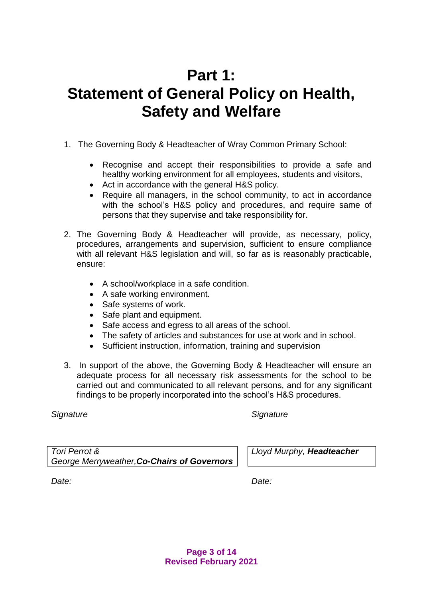## **Part 1: Statement of General Policy on Health, Safety and Welfare**

- 1. The Governing Body & Headteacher of Wray Common Primary School:
	- Recognise and accept their responsibilities to provide a safe and healthy working environment for all employees, students and visitors,
	- Act in accordance with the general H&S policy.
	- Require all managers, in the school community, to act in accordance with the school's H&S policy and procedures, and require same of persons that they supervise and take responsibility for.
- 2. The Governing Body & Headteacher will provide, as necessary, policy, procedures, arrangements and supervision, sufficient to ensure compliance with all relevant H&S legislation and will, so far as is reasonably practicable, ensure:
	- A school/workplace in a safe condition.
	- A safe working environment.
	- Safe systems of work.
	- Safe plant and equipment.
	- Safe access and egress to all areas of the school.
	- The safety of articles and substances for use at work and in school.
	- Sufficient instruction, information, training and supervision
- 3. In support of the above, the Governing Body & Headteacher will ensure an adequate process for all necessary risk assessments for the school to be carried out and communicated to all relevant persons, and for any significant findings to be properly incorporated into the school's H&S procedures.

### *Signature Signature*

*Tori Perrot & George Merryweather,Co-Chairs of Governors* *Lloyd Murphy, Headteacher*

*Date: Date:*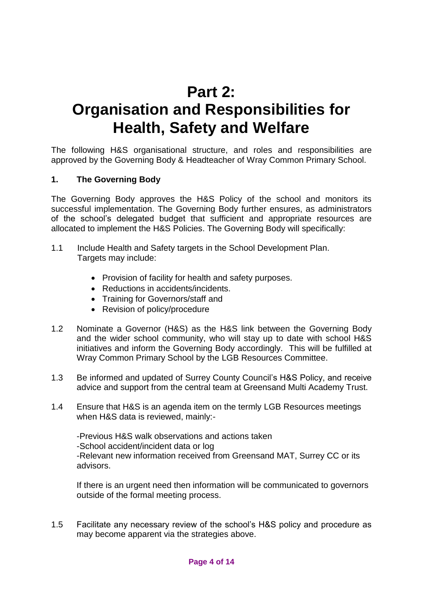## **Part 2: Organisation and Responsibilities for Health, Safety and Welfare**

The following H&S organisational structure, and roles and responsibilities are approved by the Governing Body & Headteacher of Wray Common Primary School.

## **1. The Governing Body**

The Governing Body approves the H&S Policy of the school and monitors its successful implementation. The Governing Body further ensures, as administrators of the school's delegated budget that sufficient and appropriate resources are allocated to implement the H&S Policies. The Governing Body will specifically:

- 1.1 Include Health and Safety targets in the School Development Plan. Targets may include:
	- Provision of facility for health and safety purposes.
	- Reductions in accidents/incidents.
	- Training for Governors/staff and
	- Revision of policy/procedure
- 1.2 Nominate a Governor (H&S) as the H&S link between the Governing Body and the wider school community, who will stay up to date with school H&S initiatives and inform the Governing Body accordingly. This will be fulfilled at Wray Common Primary School by the LGB Resources Committee.
- 1.3 Be informed and updated of Surrey County Council's H&S Policy, and receive advice and support from the central team at Greensand Multi Academy Trust.
- 1.4 Ensure that H&S is an agenda item on the termly LGB Resources meetings when H&S data is reviewed, mainly:-

-Previous H&S walk observations and actions taken -School accident/incident data or log -Relevant new information received from Greensand MAT, Surrey CC or its advisors.

If there is an urgent need then information will be communicated to governors outside of the formal meeting process.

1.5 Facilitate any necessary review of the school's H&S policy and procedure as may become apparent via the strategies above.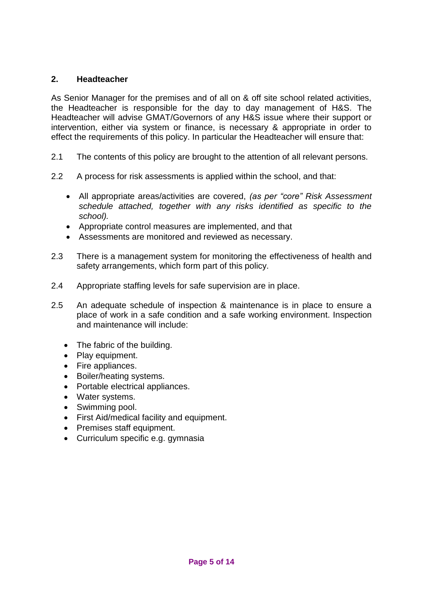## **2. Headteacher**

As Senior Manager for the premises and of all on & off site school related activities, the Headteacher is responsible for the day to day management of H&S. The Headteacher will advise GMAT/Governors of any H&S issue where their support or intervention, either via system or finance, is necessary & appropriate in order to effect the requirements of this policy. In particular the Headteacher will ensure that:

- 2.1 The contents of this policy are brought to the attention of all relevant persons.
- 2.2 A process for risk assessments is applied within the school, and that:
	- All appropriate areas/activities are covered, *(as per "core" Risk Assessment schedule attached, together with any risks identified as specific to the school).*
	- Appropriate control measures are implemented, and that
	- Assessments are monitored and reviewed as necessary.
- 2.3 There is a management system for monitoring the effectiveness of health and safety arrangements, which form part of this policy.
- 2.4 Appropriate staffing levels for safe supervision are in place.
- 2.5 An adequate schedule of inspection & maintenance is in place to ensure a place of work in a safe condition and a safe working environment. Inspection and maintenance will include:
	- The fabric of the building.
	- Play equipment.
	- Fire appliances.
	- Boiler/heating systems.
	- Portable electrical appliances.
	- Water systems.
	- Swimming pool.
	- First Aid/medical facility and equipment.
	- Premises staff equipment.
	- Curriculum specific e.g. gymnasia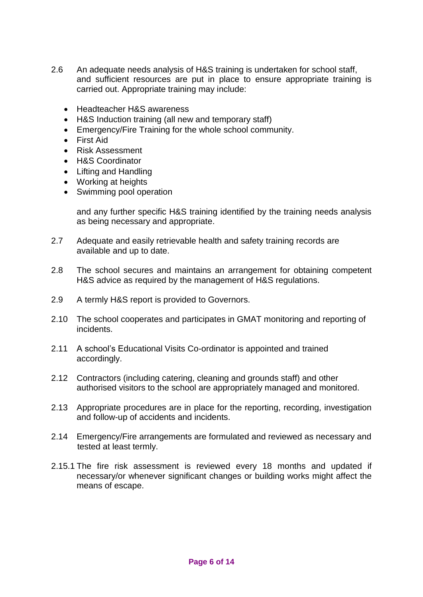- 2.6 An adequate needs analysis of H&S training is undertaken for school staff, and sufficient resources are put in place to ensure appropriate training is carried out. Appropriate training may include:
	- Headteacher H&S awareness
	- H&S Induction training (all new and temporary staff)
	- Emergency/Fire Training for the whole school community.
	- First Aid
	- Risk Assessment
	- H&S Coordinator
	- Lifting and Handling
	- Working at heights
	- Swimming pool operation

and any further specific H&S training identified by the training needs analysis as being necessary and appropriate.

- 2.7 Adequate and easily retrievable health and safety training records are available and up to date.
- 2.8 The school secures and maintains an arrangement for obtaining competent H&S advice as required by the management of H&S regulations.
- 2.9 A termly H&S report is provided to Governors.
- 2.10 The school cooperates and participates in GMAT monitoring and reporting of incidents.
- 2.11 A school's Educational Visits Co-ordinator is appointed and trained accordingly.
- 2.12 Contractors (including catering, cleaning and grounds staff) and other authorised visitors to the school are appropriately managed and monitored.
- 2.13 Appropriate procedures are in place for the reporting, recording, investigation and follow-up of accidents and incidents.
- 2.14 Emergency/Fire arrangements are formulated and reviewed as necessary and tested at least termly.
- 2.15.1 The fire risk assessment is reviewed every 18 months and updated if necessary/or whenever significant changes or building works might affect the means of escape.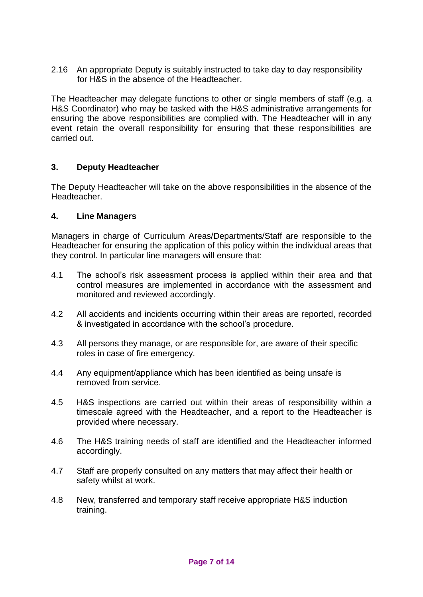2.16 An appropriate Deputy is suitably instructed to take day to day responsibility for H&S in the absence of the Headteacher.

The Headteacher may delegate functions to other or single members of staff (e.g. a H&S Coordinator) who may be tasked with the H&S administrative arrangements for ensuring the above responsibilities are complied with. The Headteacher will in any event retain the overall responsibility for ensuring that these responsibilities are carried out.

## **3. Deputy Headteacher**

The Deputy Headteacher will take on the above responsibilities in the absence of the Headteacher.

## **4. Line Managers**

Managers in charge of Curriculum Areas/Departments/Staff are responsible to the Headteacher for ensuring the application of this policy within the individual areas that they control. In particular line managers will ensure that:

- 4.1 The school's risk assessment process is applied within their area and that control measures are implemented in accordance with the assessment and monitored and reviewed accordingly.
- 4.2 All accidents and incidents occurring within their areas are reported, recorded & investigated in accordance with the school's procedure.
- 4.3 All persons they manage, or are responsible for, are aware of their specific roles in case of fire emergency.
- 4.4 Any equipment/appliance which has been identified as being unsafe is removed from service.
- 4.5 H&S inspections are carried out within their areas of responsibility within a timescale agreed with the Headteacher, and a report to the Headteacher is provided where necessary.
- 4.6 The H&S training needs of staff are identified and the Headteacher informed accordingly.
- 4.7 Staff are properly consulted on any matters that may affect their health or safety whilst at work.
- 4.8 New, transferred and temporary staff receive appropriate H&S induction training.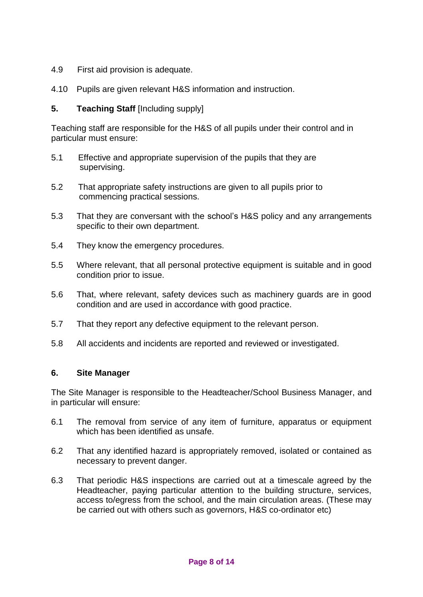- 4.9 First aid provision is adequate.
- 4.10 Pupils are given relevant H&S information and instruction.

## **5. Teaching Staff** [Including supply]

Teaching staff are responsible for the H&S of all pupils under their control and in particular must ensure:

- 5.1 Effective and appropriate supervision of the pupils that they are supervising.
- 5.2 That appropriate safety instructions are given to all pupils prior to commencing practical sessions.
- 5.3 That they are conversant with the school's H&S policy and any arrangements specific to their own department.
- 5.4 They know the emergency procedures.
- 5.5 Where relevant, that all personal protective equipment is suitable and in good condition prior to issue.
- 5.6 That, where relevant, safety devices such as machinery guards are in good condition and are used in accordance with good practice.
- 5.7 That they report any defective equipment to the relevant person.
- 5.8 All accidents and incidents are reported and reviewed or investigated.

### **6. Site Manager**

The Site Manager is responsible to the Headteacher/School Business Manager, and in particular will ensure:

- 6.1 The removal from service of any item of furniture, apparatus or equipment which has been identified as unsafe.
- 6.2 That any identified hazard is appropriately removed, isolated or contained as necessary to prevent danger.
- 6.3 That periodic H&S inspections are carried out at a timescale agreed by the Headteacher, paying particular attention to the building structure, services, access to/egress from the school, and the main circulation areas. (These may be carried out with others such as governors, H&S co-ordinator etc)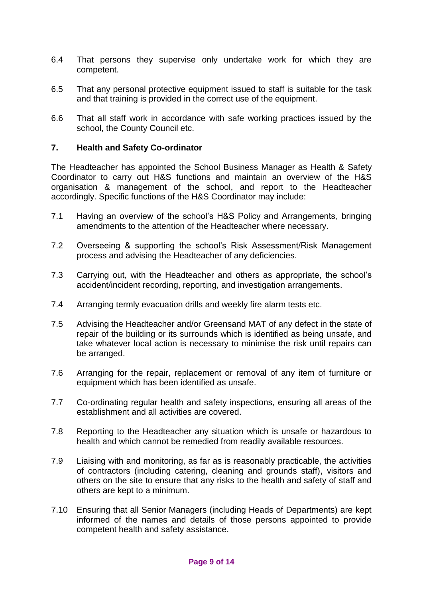- 6.4 That persons they supervise only undertake work for which they are competent.
- 6.5 That any personal protective equipment issued to staff is suitable for the task and that training is provided in the correct use of the equipment.
- 6.6 That all staff work in accordance with safe working practices issued by the school, the County Council etc.

## **7. Health and Safety Co-ordinator**

The Headteacher has appointed the School Business Manager as Health & Safety Coordinator to carry out H&S functions and maintain an overview of the H&S organisation & management of the school, and report to the Headteacher accordingly. Specific functions of the H&S Coordinator may include:

- 7.1 Having an overview of the school's H&S Policy and Arrangements, bringing amendments to the attention of the Headteacher where necessary.
- 7.2 Overseeing & supporting the school's Risk Assessment/Risk Management process and advising the Headteacher of any deficiencies.
- 7.3 Carrying out, with the Headteacher and others as appropriate, the school's accident/incident recording, reporting, and investigation arrangements.
- 7.4 Arranging termly evacuation drills and weekly fire alarm tests etc.
- 7.5 Advising the Headteacher and/or Greensand MAT of any defect in the state of repair of the building or its surrounds which is identified as being unsafe, and take whatever local action is necessary to minimise the risk until repairs can be arranged.
- 7.6 Arranging for the repair, replacement or removal of any item of furniture or equipment which has been identified as unsafe.
- 7.7 Co-ordinating regular health and safety inspections, ensuring all areas of the establishment and all activities are covered.
- 7.8 Reporting to the Headteacher any situation which is unsafe or hazardous to health and which cannot be remedied from readily available resources.
- 7.9 Liaising with and monitoring, as far as is reasonably practicable, the activities of contractors (including catering, cleaning and grounds staff), visitors and others on the site to ensure that any risks to the health and safety of staff and others are kept to a minimum.
- 7.10 Ensuring that all Senior Managers (including Heads of Departments) are kept informed of the names and details of those persons appointed to provide competent health and safety assistance.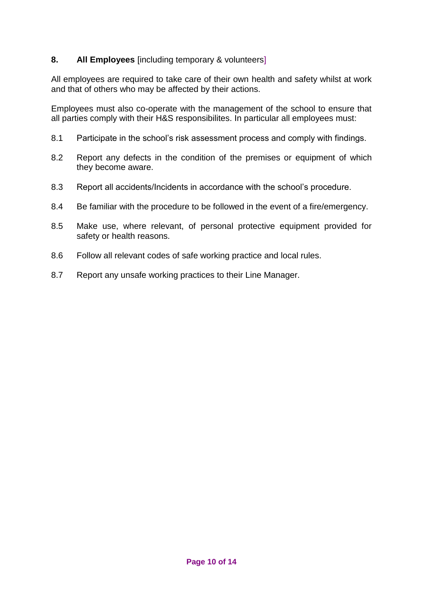## **8. All Employees** [including temporary & volunteers]

All employees are required to take care of their own health and safety whilst at work and that of others who may be affected by their actions.

Employees must also co-operate with the management of the school to ensure that all parties comply with their H&S responsibilites. In particular all employees must:

- 8.1 Participate in the school's risk assessment process and comply with findings.
- 8.2 Report any defects in the condition of the premises or equipment of which they become aware.
- 8.3 Report all accidents/Incidents in accordance with the school's procedure.
- 8.4 Be familiar with the procedure to be followed in the event of a fire/emergency.
- 8.5 Make use, where relevant, of personal protective equipment provided for safety or health reasons.
- 8.6 Follow all relevant codes of safe working practice and local rules.
- 8.7 Report any unsafe working practices to their Line Manager.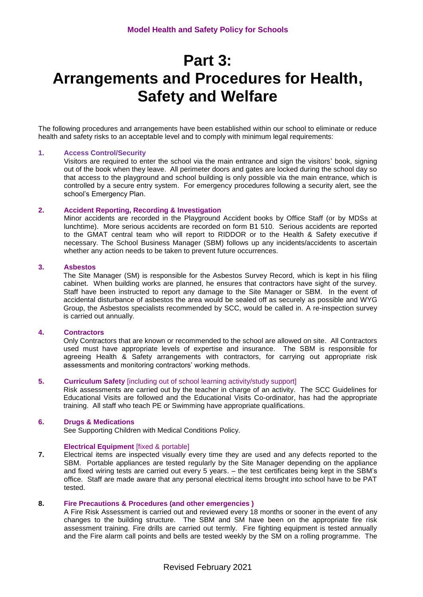## **Part 3: Arrangements and Procedures for Health, Safety and Welfare**

The following procedures and arrangements have been established within our school to eliminate or reduce health and safety risks to an acceptable level and to comply with minimum legal requirements:

#### **1. Access Control/Security**

Visitors are required to enter the school via the main entrance and sign the visitors' book, signing out of the book when they leave. All perimeter doors and gates are locked during the school day so that access to the playground and school building is only possible via the main entrance, which is controlled by a secure entry system. For emergency procedures following a security alert, see the school's Emergency Plan.

#### **2. Accident Reporting, Recording & Investigation**

Minor accidents are recorded in the Playground Accident books by Office Staff (or by MDSs at lunchtime). More serious accidents are recorded on form B1 510. Serious accidents are reported to the GMAT central team who will report to RIDDOR or to the Health & Safety executive if necessary. The School Business Manager (SBM) follows up any incidents/accidents to ascertain whether any action needs to be taken to prevent future occurrences.

#### **3. Asbestos**

The Site Manager (SM) is responsible for the Asbestos Survey Record, which is kept in his filing cabinet. When building works are planned, he ensures that contractors have sight of the survey. Staff have been instructed to report any damage to the Site Manager or SBM. In the event of accidental disturbance of asbestos the area would be sealed off as securely as possible and WYG Group, the Asbestos specialists recommended by SCC, would be called in. A re-inspection survey is carried out annually.

#### **4. Contractors**

Only Contractors that are known or recommended to the school are allowed on site. All Contractors used must have appropriate levels of expertise and insurance. The SBM is responsible for agreeing Health & Safety arrangements with contractors, for carrying out appropriate risk assessments and monitoring contractors' working methods.

#### **5. Curriculum Safety** [including out of school learning activity/study support]

Risk assessments are carried out by the teacher in charge of an activity. The SCC Guidelines for Educational Visits are followed and the Educational Visits Co-ordinator, has had the appropriate training. All staff who teach PE or Swimming have appropriate qualifications.

#### **6. Drugs & Medications**

See Supporting Children with Medical Conditions Policy.

#### **Electrical Equipment** [fixed & portable]

**7.** Electrical items are inspected visually every time they are used and any defects reported to the SBM. Portable appliances are tested regularly by the Site Manager depending on the appliance and fixed wiring tests are carried out every 5 years. – the test certificates being kept in the SBM's office. Staff are made aware that any personal electrical items brought into school have to be PAT tested.

#### **8. Fire Precautions & Procedures (and other emergencies )**

A Fire Risk Assessment is carried out and reviewed every 18 months or sooner in the event of any changes to the building structure. The SBM and SM have been on the appropriate fire risk assessment training. Fire drills are carried out termly. Fire fighting equipment is tested annually and the Fire alarm call points and bells are tested weekly by the SM on a rolling programme. The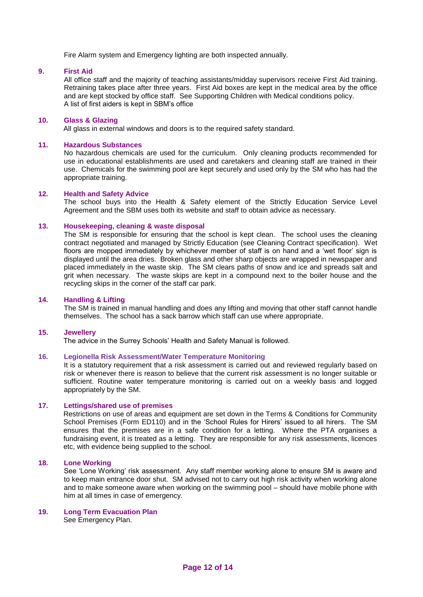Fire Alarm system and Emergency lighting are both inspected annually.

#### **9. First Aid**

All office staff and the majority of teaching assistants/midday supervisors receive First Aid training. Retraining takes place after three years. First Aid boxes are kept in the medical area by the office and are kept stocked by office staff. See Supporting Children with Medical conditions policy. A list of first aiders is kept in SBM's office

#### **10. Glass & Glazing**

All glass in external windows and doors is to the required safety standard.

#### **11. Hazardous Substances**

No hazardous chemicals are used for the curriculum. Only cleaning products recommended for use in educational establishments are used and caretakers and cleaning staff are trained in their use. Chemicals for the swimming pool are kept securely and used only by the SM who has had the appropriate training.

#### **12. Health and Safety Advice**

The school buys into the Health & Safety element of the Strictly Education Service Level Agreement and the SBM uses both its website and staff to obtain advice as necessary.

#### **13. Housekeeping, cleaning & waste disposal**

The SM is responsible for ensuring that the school is kept clean. The school uses the cleaning contract negotiated and managed by Strictly Education (see Cleaning Contract specification). Wet floors are mopped immediately by whichever member of staff is on hand and a 'wet floor' sign is displayed until the area dries. Broken glass and other sharp objects are wrapped in newspaper and placed immediately in the waste skip. The SM clears paths of snow and ice and spreads salt and grit when necessary. The waste skips are kept in a compound next to the boiler house and the recycling skips in the corner of the staff car park.

#### **14. Handling & Lifting**

The SM is trained in manual handling and does any lifting and moving that other staff cannot handle themselves. The school has a sack barrow which staff can use where appropriate.

#### **15. Jewellery**

The advice in the Surrey Schools' Health and Safety Manual is followed.

#### **16. Legionella Risk Assessment/Water Temperature Monitoring**

It is a statutory requirement that a risk assessment is carried out and reviewed regularly based on risk or whenever there is reason to believe that the current risk assessment is no longer suitable or sufficient. Routine water temperature monitoring is carried out on a weekly basis and logged appropriately by the SM.

#### **17. Lettings/shared use of premises**

Restrictions on use of areas and equipment are set down in the Terms & Conditions for Community School Premises (Form ED110) and in the 'School Rules for Hirers' issued to all hirers. The SM ensures that the premises are in a safe condition for a letting. Where the PTA organises a fundraising event, it is treated as a letting. They are responsible for any risk assessments, licences etc, with evidence being supplied to the school.

#### **18. Lone Working**

See 'Lone Working' risk assessment. Any staff member working alone to ensure SM is aware and to keep main entrance door shut. SM advised not to carry out high risk activity when working alone and to make someone aware when working on the swimming pool – should have mobile phone with him at all times in case of emergency.

## **19. Long Term Evacuation Plan**

See Emergency Plan.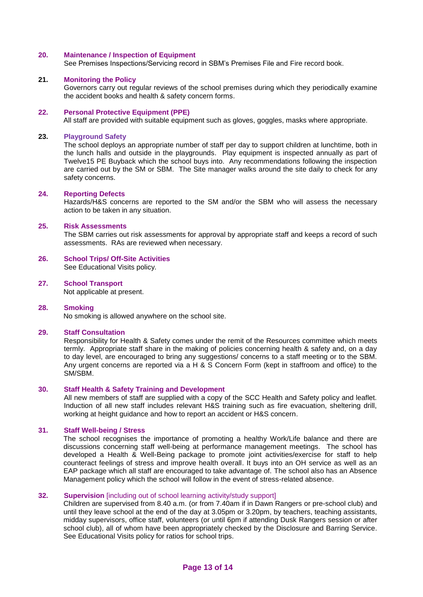#### **20. Maintenance / Inspection of Equipment**

See Premises Inspections/Servicing record in SBM's Premises File and Fire record book.

#### **21. Monitoring the Policy**

Governors carry out regular reviews of the school premises during which they periodically examine the accident books and health & safety concern forms.

#### **22. Personal Protective Equipment (PPE)**

All staff are provided with suitable equipment such as gloves, goggles, masks where appropriate.

#### **23. Playground Safety**

The school deploys an appropriate number of staff per day to support children at lunchtime, both in the lunch halls and outside in the playgrounds. Play equipment is inspected annually as part of Twelve15 PE Buyback which the school buys into. Any recommendations following the inspection are carried out by the SM or SBM. The Site manager walks around the site daily to check for any safety concerns.

#### **24. Reporting Defects**

Hazards/H&S concerns are reported to the SM and/or the SBM who will assess the necessary action to be taken in any situation.

#### **25. Risk Assessments**

The SBM carries out risk assessments for approval by appropriate staff and keeps a record of such assessments. RAs are reviewed when necessary.

#### **26. School Trips/ Off-Site Activities** See Educational Visits policy.

#### **27. School Transport**

Not applicable at present.

#### **28. Smoking**

No smoking is allowed anywhere on the school site.

#### **29. Staff Consultation**

Responsibility for Health & Safety comes under the remit of the Resources committee which meets termly. Appropriate staff share in the making of policies concerning health & safety and, on a day to day level, are encouraged to bring any suggestions/ concerns to a staff meeting or to the SBM. Any urgent concerns are reported via a H & S Concern Form (kept in staffroom and office) to the SM/SBM.

#### **30. Staff Health & Safety Training and Development**

All new members of staff are supplied with a copy of the SCC Health and Safety policy and leaflet. Induction of all new staff includes relevant H&S training such as fire evacuation, sheltering drill, working at height guidance and how to report an accident or H&S concern.

#### **31. Staff Well-being / Stress**

The school recognises the importance of promoting a healthy Work/Life balance and there are discussions concerning staff well-being at performance management meetings. The school has developed a Health & Well-Being package to promote joint activities/exercise for staff to help counteract feelings of stress and improve health overall. It buys into an OH service as well as an EAP package which all staff are encouraged to take advantage of. The school also has an Absence Management policy which the school will follow in the event of stress-related absence.

#### **32. Supervision** [including out of school learning activity/study support]

Children are supervised from 8.40 a.m. (or from 7.40am if in Dawn Rangers or pre-school club) and until they leave school at the end of the day at 3.05pm or 3.20pm, by teachers, teaching assistants, midday supervisors, office staff, volunteers (or until 6pm if attending Dusk Rangers session or after school club), all of whom have been appropriately checked by the Disclosure and Barring Service. See Educational Visits policy for ratios for school trips.